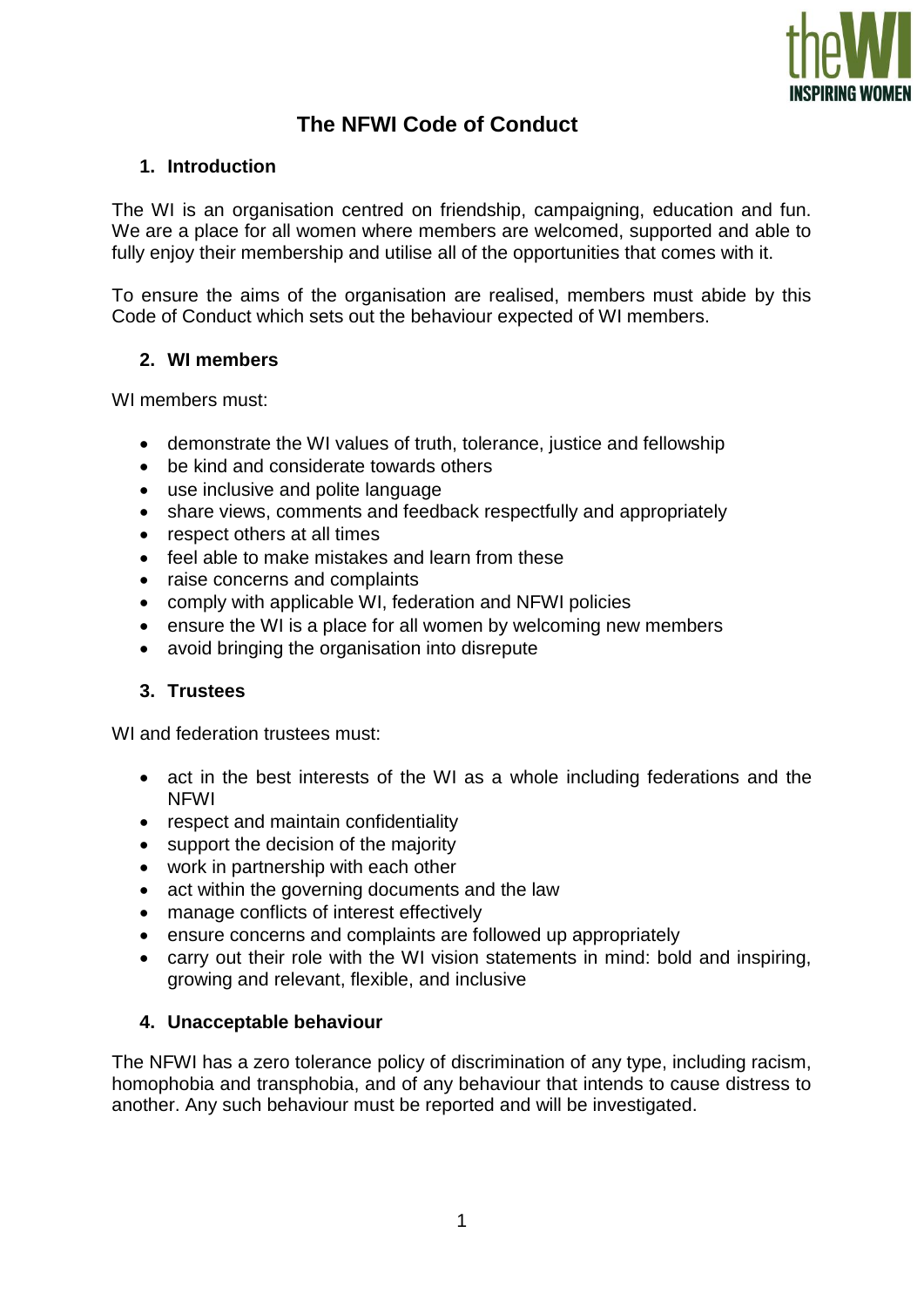

# **The NFWI Code of Conduct**

## **1. Introduction**

The WI is an organisation centred on friendship, campaigning, education and fun. We are a place for all women where members are welcomed, supported and able to fully enjoy their membership and utilise all of the opportunities that comes with it.

To ensure the aims of the organisation are realised, members must abide by this Code of Conduct which sets out the behaviour expected of WI members.

## **2. WI members**

WI members must:

- demonstrate the WI values of truth, tolerance, justice and fellowship
- be kind and considerate towards others
- use inclusive and polite language
- share views, comments and feedback respectfully and appropriately
- respect others at all times
- feel able to make mistakes and learn from these
- raise concerns and complaints
- comply with applicable WI, federation and NFWI policies
- ensure the WI is a place for all women by welcoming new members
- avoid bringing the organisation into disrepute

# **3. Trustees**

WI and federation trustees must:

- act in the best interests of the WI as a whole including federations and the NFWI
- respect and maintain confidentiality
- support the decision of the majority
- work in partnership with each other
- act within the governing documents and the law
- manage conflicts of interest effectively
- ensure concerns and complaints are followed up appropriately
- carry out their role with the WI vision statements in mind: bold and inspiring, growing and relevant, flexible, and inclusive

#### **4. Unacceptable behaviour**

The NFWI has a zero tolerance policy of discrimination of any type, including racism, homophobia and transphobia, and of any behaviour that intends to cause distress to another. Any such behaviour must be reported and will be investigated.